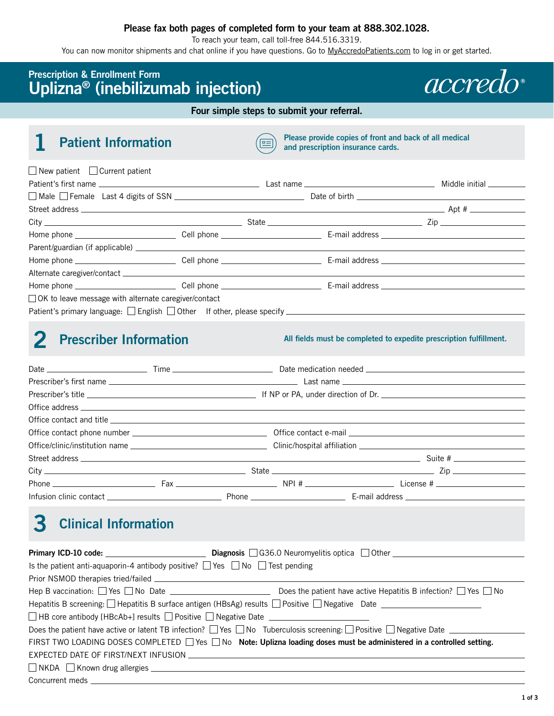#### **Please fax both pages of completed form to your team at 888.302.1028.**

To reach your team, call toll-free 844.516.3319.

You can now monitor shipments and chat online if you have questions. Go to [MyAccredoPatients.com](https://MyAccredoPatients.com) to log in or get started.

### **Prescription & Enrollment Form Uplizna® (inebilizumab injection)**

*accredo* 

**Four simple steps to submit your referral.**

## **1 Patient Information**

**Please provide copies of front and back of all medical and prescription insurance cards.** 

| $\Box$ New patient $\Box$ Current patient                                                           |  |  |
|-----------------------------------------------------------------------------------------------------|--|--|
|                                                                                                     |  |  |
|                                                                                                     |  |  |
|                                                                                                     |  |  |
|                                                                                                     |  |  |
|                                                                                                     |  |  |
|                                                                                                     |  |  |
|                                                                                                     |  |  |
|                                                                                                     |  |  |
|                                                                                                     |  |  |
| $\Box$ OK to leave message with alternate caregiver/contact                                         |  |  |
| Patient's primary language: □ English □ Other If other, please specify ____________________________ |  |  |

# **2 Prescriber Information**

**All fields must be completed to expedite prescription fulfillment.** 

# **3 Clinical Information**

| Is the patient anti-aquaporin-4 antibody positive? $\Box$ Yes $\Box$ No $\Box$ Test pending                                                                                                                                    |                                                                                                                                               |
|--------------------------------------------------------------------------------------------------------------------------------------------------------------------------------------------------------------------------------|-----------------------------------------------------------------------------------------------------------------------------------------------|
|                                                                                                                                                                                                                                |                                                                                                                                               |
|                                                                                                                                                                                                                                |                                                                                                                                               |
|                                                                                                                                                                                                                                | Hepatitis B screening: $\Box$ Hepatitis B surface antigen (HBsAg) results $\Box$ Positive $\Box$ Negative Date $\Box$                         |
| $\Box$ HB core antibody [HBcAb+] results $\Box$ Positive $\Box$ Negative Date $\Box$                                                                                                                                           |                                                                                                                                               |
|                                                                                                                                                                                                                                | Does the patient have active or latent TB infection? $\Box$ Yes $\Box$ No Tuberculosis screening: $\Box$ Positive $\Box$ Negative Date $\Box$ |
|                                                                                                                                                                                                                                | FIRST TWO LOADING DOSES COMPLETED $\Box$ Yes $\Box$ No <b>Note: Uplizna loading doses must be administered in a controlled setting.</b>       |
|                                                                                                                                                                                                                                | EXPECTED DATE OF FIRST/NEXT INFUSION                                                                                                          |
| $\Box$ NKDA $\Box$ Known drug allergies $\Box$ NKDA $\Box$ NKDA $\Box$ Known drug allergies $\Box$                                                                                                                             |                                                                                                                                               |
| Concurrent meds and the contract of the contract of the contract of the contract of the contract of the contract of the contract of the contract of the contract of the contract of the contract of the contract of the contra |                                                                                                                                               |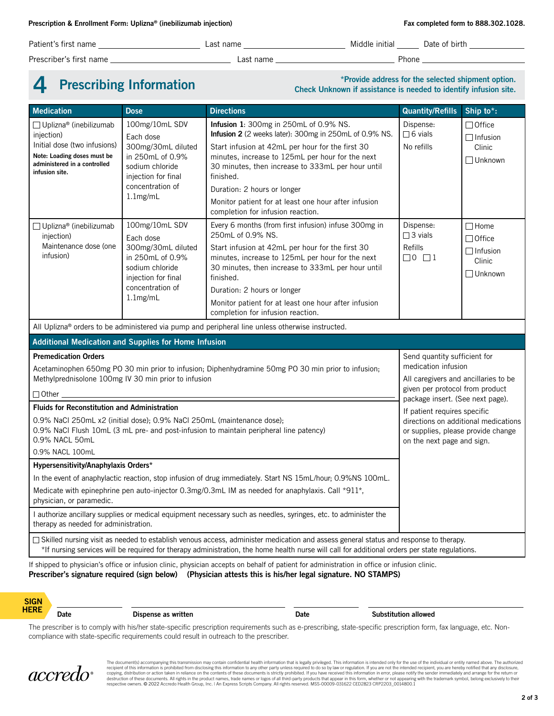Patient's first name Last name Middle initial Date of birth

Prescriber's first name Last name Phone

**4** Prescribing Information<br> **Check Unknown if assistance is needed to identify infusion site.**<br> **Check Unknown if assistance is needed to identify infusion site.** 

| <b>Medication</b>                                                                                                                                                                                                                                                                                                                                                                                                                             | <b>Dose</b>                                                                                                                                                                 | <b>Directions</b>                                                                                                                                                                                                                                                                                                                                                                                      | <b>Quantity/Refills</b>                                                                                                                                                                                                                                                                                        | Ship to*:                                                              |  |
|-----------------------------------------------------------------------------------------------------------------------------------------------------------------------------------------------------------------------------------------------------------------------------------------------------------------------------------------------------------------------------------------------------------------------------------------------|-----------------------------------------------------------------------------------------------------------------------------------------------------------------------------|--------------------------------------------------------------------------------------------------------------------------------------------------------------------------------------------------------------------------------------------------------------------------------------------------------------------------------------------------------------------------------------------------------|----------------------------------------------------------------------------------------------------------------------------------------------------------------------------------------------------------------------------------------------------------------------------------------------------------------|------------------------------------------------------------------------|--|
| □ Uplizna® (inebilizumab<br>injection)<br>Initial dose (two infusions)<br>Note: Loading doses must be<br>administered in a controlled<br>infusion site.                                                                                                                                                                                                                                                                                       | 100mg/10mL SDV<br>Each dose<br>300mg/30mL diluted<br>in 250mL of 0.9%<br>sodium chloride<br>injection for final<br>concentration of<br>$1.1$ mg/mL                          | Infusion 1: 300mg in 250mL of 0.9% NS.<br>Infusion 2 (2 weeks later): 300mg in 250mL of 0.9% NS.<br>Start infusion at 42mL per hour for the first 30<br>minutes, increase to 125mL per hour for the next<br>30 minutes, then increase to 333mL per hour until<br>finished.<br>Duration: 2 hours or longer<br>Monitor patient for at least one hour after infusion<br>completion for infusion reaction. | Dispense:<br>$\Box$ 6 vials<br>No refills                                                                                                                                                                                                                                                                      | $\Box$ Office<br>$\Box$ Infusion<br>Clinic<br>□ Unknown                |  |
| □ Uplizna® (inebilizumab<br>injection)<br>Maintenance dose (one<br>infusion)                                                                                                                                                                                                                                                                                                                                                                  | 100mg/10mL SDV<br>Each dose<br>300mg/30mL diluted<br>in 250mL of 0.9%<br>sodium chloride<br>injection for final<br>concentration of<br>$1.1$ mg/mL                          | Every 6 months (from first infusion) infuse 300mg in<br>250mL of 0.9% NS.<br>Start infusion at 42mL per hour for the first 30<br>minutes, increase to 125mL per hour for the next<br>30 minutes, then increase to 333mL per hour until<br>finished.<br>Duration: 2 hours or longer<br>Monitor patient for at least one hour after infusion<br>completion for infusion reaction.                        | Dispense:<br>$\Box$ 3 vials<br>Refills<br>$\Box$ 0 $\Box$ 1                                                                                                                                                                                                                                                    | $\Box$ Home<br>$\Box$ Office<br>$\Box$ Infusion<br>Clinic<br>□ Unknown |  |
|                                                                                                                                                                                                                                                                                                                                                                                                                                               | All Uplizna <sup>®</sup> orders to be administered via pump and peripheral line unless otherwise instructed.<br><b>Additional Medication and Supplies for Home Infusion</b> |                                                                                                                                                                                                                                                                                                                                                                                                        |                                                                                                                                                                                                                                                                                                                |                                                                        |  |
| <b>Premedication Orders</b><br>Acetaminophen 650mg PO 30 min prior to infusion; Diphenhydramine 50mg PO 30 min prior to infusion;<br>Methylprednisolone 100mg IV 30 min prior to infusion<br>$\Box$ Other $\_$                                                                                                                                                                                                                                |                                                                                                                                                                             |                                                                                                                                                                                                                                                                                                                                                                                                        | Send quantity sufficient for<br>medication infusion<br>All caregivers and ancillaries to be<br>given per protocol from product<br>package insert. (See next page).<br>If patient requires specific<br>directions on additional medications<br>or supplies, please provide change<br>on the next page and sign. |                                                                        |  |
| <b>Fluids for Reconstitution and Administration</b><br>0.9% NaCl 250mL x2 (initial dose); 0.9% NaCl 250mL (maintenance dose);<br>0.9% NaCl Flush 10mL (3 mL pre- and post-infusion to maintain peripheral line patency)<br>0.9% NACL 50mL<br>0.9% NACL 100mL                                                                                                                                                                                  |                                                                                                                                                                             |                                                                                                                                                                                                                                                                                                                                                                                                        |                                                                                                                                                                                                                                                                                                                |                                                                        |  |
| Hypersensitivity/Anaphylaxis Orders*                                                                                                                                                                                                                                                                                                                                                                                                          |                                                                                                                                                                             |                                                                                                                                                                                                                                                                                                                                                                                                        |                                                                                                                                                                                                                                                                                                                |                                                                        |  |
| In the event of anaphylactic reaction, stop infusion of drug immediately. Start NS 15mL/hour, 0.9%NS 100mL.<br>Medicate with epinephrine pen auto-injector 0.3mg/0.3mL IM as needed for anaphylaxis. Call *911*,<br>physician, or paramedic.                                                                                                                                                                                                  |                                                                                                                                                                             |                                                                                                                                                                                                                                                                                                                                                                                                        |                                                                                                                                                                                                                                                                                                                |                                                                        |  |
| I authorize ancillary supplies or medical equipment necessary such as needles, syringes, etc. to administer the<br>therapy as needed for administration.                                                                                                                                                                                                                                                                                      |                                                                                                                                                                             |                                                                                                                                                                                                                                                                                                                                                                                                        |                                                                                                                                                                                                                                                                                                                |                                                                        |  |
| $\Box$ Skilled nursing visit as needed to establish venous access, administer medication and assess general status and response to therapy.<br>*If nursing services will be required for therapy administration, the home health nurse will call for additional orders per state regulations.<br>If shipped to physician's office or infusion clinic, physician accepts on behalf of patient for administration in office or infusion clinic. |                                                                                                                                                                             |                                                                                                                                                                                                                                                                                                                                                                                                        |                                                                                                                                                                                                                                                                                                                |                                                                        |  |

**Prescriber's signature required (sign below) (Physician attests this is his/her legal signature. NO STAMPS)**

**SIGN HERE**

#### **Date Dispense as written Community Community Community Community Community Community Community Community Community Community Community Community Community Community Community Community Community Community Community Comm**

The prescriber is to comply with his/her state-specific prescription requirements such as e-prescribing, state-specific prescription form, fax language, etc. Noncompliance with state-specific requirements could result in outreach to the prescriber.



The document(s) accompanying this transmission may contain confidential health information that is legally privileged. This information is intended only for the use of the individual or entity named above. The authorized r respective owners. © 2022 Accredo Health Group, Inc. | An Express Scripts Company. All rights reserved. MSS-00009-031622 CED2823 CRP2203\_0014800.1